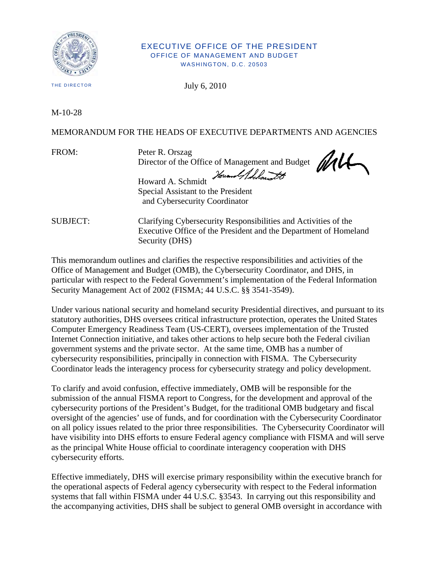

## EXECUTIVE OFFICE OF THE PRESIDENT OFFICE OF MANAGEMENT AND BUDGET WASHINGTON, D.C. 20503

THE DIRECTOR

July 6, 2010

M-10-28

MEMORANDUM FOR THE HEADS OF EXECUTIVE DEPARTMENTS AND AGENCIES

FROM: Peter R. Orszag Director of the Office of Management and Budget

Howard Adda. Howard A. Schmidt Special Assistant to the President and Cybersecurity Coordinator

SUBJECT: Clarifying Cybersecurity Responsibilities and Activities of the Executive Office of the President and the Department of Homeland Security (DHS)

This memorandum outlines and clarifies the respective responsibilities and activities of the Office of Management and Budget (OMB), the Cybersecurity Coordinator, and DHS, in particular with respect to the Federal Government's implementation of the Federal Information Security Management Act of 2002 (FISMA; 44 U.S.C. §§ 3541-3549).

Under various national security and homeland security Presidential directives, and pursuant to its statutory authorities, DHS oversees critical infrastructure protection, operates the United States Computer Emergency Readiness Team (US-CERT), oversees implementation of the Trusted Internet Connection initiative, and takes other actions to help secure both the Federal civilian government systems and the private sector. At the same time, OMB has a number of cybersecurity responsibilities, principally in connection with FISMA. The Cybersecurity Coordinator leads the interagency process for cybersecurity strategy and policy development.

To clarify and avoid confusion, effective immediately, OMB will be responsible for the submission of the annual FISMA report to Congress, for the development and approval of the cybersecurity portions of the President's Budget, for the traditional OMB budgetary and fiscal oversight of the agencies' use of funds, and for coordination with the Cybersecurity Coordinator on all policy issues related to the prior three responsibilities. The Cybersecurity Coordinator will have visibility into DHS efforts to ensure Federal agency compliance with FISMA and will serve as the principal White House official to coordinate interagency cooperation with DHS cybersecurity efforts.

Effective immediately, DHS will exercise primary responsibility within the executive branch for the operational aspects of Federal agency cybersecurity with respect to the Federal information systems that fall within FISMA under 44 U.S.C. §3543. In carrying out this responsibility and the accompanying activities, DHS shall be subject to general OMB oversight in accordance with